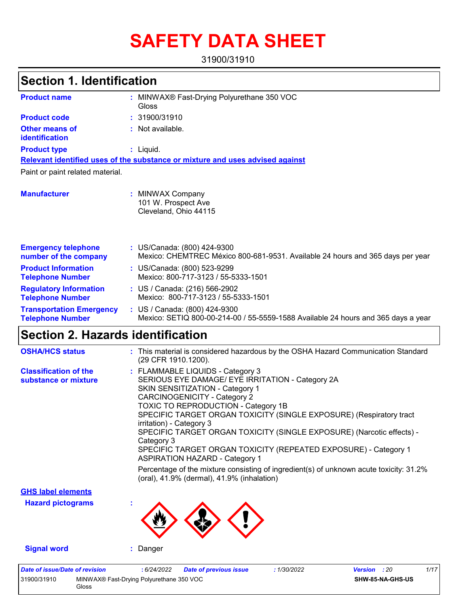# **SAFETY DATA SHEET**

31900/31910

| Section 1. Identification                                  |                                                                                                                    |
|------------------------------------------------------------|--------------------------------------------------------------------------------------------------------------------|
| <b>Product name</b>                                        | : MINWAX® Fast-Drying Polyurethane 350 VOC<br>Gloss                                                                |
| <b>Product code</b>                                        | : 31900/31910                                                                                                      |
| <b>Other means of</b><br>identification                    | : Not available.                                                                                                   |
| <b>Product type</b>                                        | : Liquid.                                                                                                          |
|                                                            | Relevant identified uses of the substance or mixture and uses advised against                                      |
| Paint or paint related material.                           |                                                                                                                    |
| <b>Manufacturer</b>                                        | : MINWAX Company<br>101 W. Prospect Ave<br>Cleveland, Ohio 44115                                                   |
| <b>Emergency telephone</b><br>number of the company        | : US/Canada: (800) 424-9300<br>Mexico: CHEMTREC México 800-681-9531. Available 24 hours and 365 days per year      |
| <b>Product Information</b><br><b>Telephone Number</b>      | : US/Canada: (800) 523-9299<br>Mexico: 800-717-3123 / 55-5333-1501                                                 |
| <b>Regulatory Information</b><br><b>Telephone Number</b>   | : US / Canada: (216) 566-2902<br>Mexico: 800-717-3123 / 55-5333-1501                                               |
| <b>Transportation Emergency</b><br><b>Telephone Number</b> | : US / Canada: (800) 424-9300<br>Mexico: SETIQ 800-00-214-00 / 55-5559-1588 Available 24 hours and 365 days a year |
| <b>Section 2. Hazards identification</b>                   |                                                                                                                    |
| <b>OSHA/HCS status</b>                                     | : This material is considered hazardous by the OSHA Hazard Communication Standard<br>(29 CFR 1910 1200)            |

|                                                      | 120 UI IN 1010.12001.                                                                                                                                                                                                                                                                                                                                                                                                                                                                                              |
|------------------------------------------------------|--------------------------------------------------------------------------------------------------------------------------------------------------------------------------------------------------------------------------------------------------------------------------------------------------------------------------------------------------------------------------------------------------------------------------------------------------------------------------------------------------------------------|
| <b>Classification of the</b><br>substance or mixture | : FLAMMABLE LIQUIDS - Category 3<br>SERIOUS EYE DAMAGE/ EYE IRRITATION - Category 2A<br>SKIN SENSITIZATION - Category 1<br><b>CARCINOGENICITY - Category 2</b><br><b>TOXIC TO REPRODUCTION - Category 1B</b><br>SPECIFIC TARGET ORGAN TOXICITY (SINGLE EXPOSURE) (Respiratory tract<br>irritation) - Category 3<br>SPECIFIC TARGET ORGAN TOXICITY (SINGLE EXPOSURE) (Narcotic effects) -<br>Category 3<br>SPECIFIC TARGET ORGAN TOXICITY (REPEATED EXPOSURE) - Category 1<br><b>ASPIRATION HAZARD - Category 1</b> |
|                                                      | Percentage of the mixture consisting of ingredient(s) of unknown acute toxicity: 31.2%<br>(oral), 41.9% (dermal), 41.9% (inhalation)                                                                                                                                                                                                                                                                                                                                                                               |
| <b>GHS label elements</b>                            |                                                                                                                                                                                                                                                                                                                                                                                                                                                                                                                    |
| المستحدث والمتارين المستحدث والراز                   |                                                                                                                                                                                                                                                                                                                                                                                                                                                                                                                    |

**Hazard pictograms :**



**Signal word :** Danger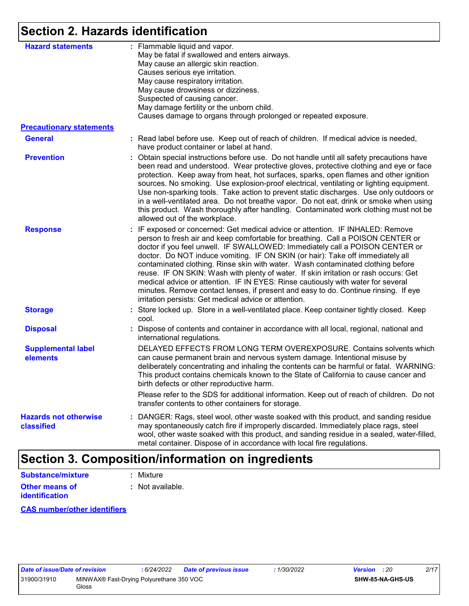# **Section 2. Hazards identification**

| <b>Hazard statements</b>                   | : Flammable liquid and vapor.<br>May be fatal if swallowed and enters airways.<br>May cause an allergic skin reaction.<br>Causes serious eye irritation.<br>May cause respiratory irritation.<br>May cause drowsiness or dizziness.<br>Suspected of causing cancer.<br>May damage fertility or the unborn child.                                                                                                                                                                                                                                                                                                                                                                                                                                   |
|--------------------------------------------|----------------------------------------------------------------------------------------------------------------------------------------------------------------------------------------------------------------------------------------------------------------------------------------------------------------------------------------------------------------------------------------------------------------------------------------------------------------------------------------------------------------------------------------------------------------------------------------------------------------------------------------------------------------------------------------------------------------------------------------------------|
| <b>Precautionary statements</b>            | Causes damage to organs through prolonged or repeated exposure.                                                                                                                                                                                                                                                                                                                                                                                                                                                                                                                                                                                                                                                                                    |
| <b>General</b>                             | : Read label before use. Keep out of reach of children. If medical advice is needed,<br>have product container or label at hand.                                                                                                                                                                                                                                                                                                                                                                                                                                                                                                                                                                                                                   |
| <b>Prevention</b>                          | : Obtain special instructions before use. Do not handle until all safety precautions have<br>been read and understood. Wear protective gloves, protective clothing and eye or face<br>protection. Keep away from heat, hot surfaces, sparks, open flames and other ignition<br>sources. No smoking. Use explosion-proof electrical, ventilating or lighting equipment.<br>Use non-sparking tools. Take action to prevent static discharges. Use only outdoors or<br>in a well-ventilated area. Do not breathe vapor. Do not eat, drink or smoke when using<br>this product. Wash thoroughly after handling. Contaminated work clothing must not be<br>allowed out of the workplace.                                                                |
| <b>Response</b>                            | : IF exposed or concerned: Get medical advice or attention. IF INHALED: Remove<br>person to fresh air and keep comfortable for breathing. Call a POISON CENTER or<br>doctor if you feel unwell. IF SWALLOWED: Immediately call a POISON CENTER or<br>doctor. Do NOT induce vomiting. IF ON SKIN (or hair): Take off immediately all<br>contaminated clothing. Rinse skin with water. Wash contaminated clothing before<br>reuse. IF ON SKIN: Wash with plenty of water. If skin irritation or rash occurs: Get<br>medical advice or attention. IF IN EYES: Rinse cautiously with water for several<br>minutes. Remove contact lenses, if present and easy to do. Continue rinsing. If eye<br>irritation persists: Get medical advice or attention. |
| <b>Storage</b>                             | Store locked up. Store in a well-ventilated place. Keep container tightly closed. Keep<br>cool.                                                                                                                                                                                                                                                                                                                                                                                                                                                                                                                                                                                                                                                    |
| <b>Disposal</b>                            | : Dispose of contents and container in accordance with all local, regional, national and<br>international regulations.                                                                                                                                                                                                                                                                                                                                                                                                                                                                                                                                                                                                                             |
| <b>Supplemental label</b><br>elements      | DELAYED EFFECTS FROM LONG TERM OVEREXPOSURE. Contains solvents which<br>can cause permanent brain and nervous system damage. Intentional misuse by<br>deliberately concentrating and inhaling the contents can be harmful or fatal. WARNING:<br>This product contains chemicals known to the State of California to cause cancer and<br>birth defects or other reproductive harm.                                                                                                                                                                                                                                                                                                                                                                  |
|                                            | Please refer to the SDS for additional information. Keep out of reach of children. Do not<br>transfer contents to other containers for storage.                                                                                                                                                                                                                                                                                                                                                                                                                                                                                                                                                                                                    |
| <b>Hazards not otherwise</b><br>classified | : DANGER: Rags, steel wool, other waste soaked with this product, and sanding residue<br>may spontaneously catch fire if improperly discarded. Immediately place rags, steel<br>wool, other waste soaked with this product, and sanding residue in a sealed, water-filled,<br>metal container. Dispose of in accordance with local fire regulations.                                                                                                                                                                                                                                                                                                                                                                                               |

# **Section 3. Composition/information on ingredients**

| Substance/mixture                       | : Mixture                   |
|-----------------------------------------|-----------------------------|
| <b>Other means of</b><br>identification | $\therefore$ Not available. |

**CAS number/other identifiers**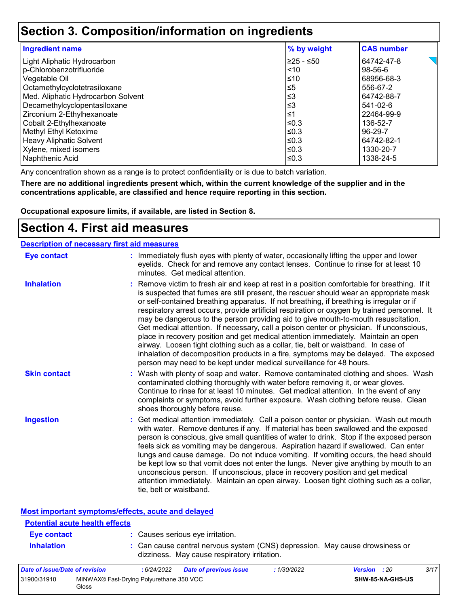### **Section 3. Composition/information on ingredients**

| <b>Ingredient name</b>             | % by weight | <b>CAS number</b> |
|------------------------------------|-------------|-------------------|
| Light Aliphatic Hydrocarbon        | 225 - ≤50   | 64742-47-8        |
| p-Chlorobenzotrifluoride           | < 10        | 98-56-6           |
| Vegetable Oil                      | $≤10$       | 68956-68-3        |
| Octamethylcyclotetrasiloxane       | $\leq 5$    | 556-67-2          |
| Med. Aliphatic Hydrocarbon Solvent | $\leq$ 3    | 64742-88-7        |
| Decamethylcyclopentasiloxane       | ≲3          | 541-02-6          |
| Zirconium 2-Ethylhexanoate         | 1≤ا         | 22464-99-9        |
| Cobalt 2-Ethylhexanoate            | l≤0.3       | 136-52-7          |
| Methyl Ethyl Ketoxime              | l≤0.3       | 96-29-7           |
| <b>Heavy Aliphatic Solvent</b>     | ≤0.3        | 64742-82-1        |
| Xylene, mixed isomers              | l≤0.3       | 1330-20-7         |
| Naphthenic Acid                    | l≤0.3       | 1338-24-5         |

Any concentration shown as a range is to protect confidentiality or is due to batch variation.

**There are no additional ingredients present which, within the current knowledge of the supplier and in the concentrations applicable, are classified and hence require reporting in this section.**

**Occupational exposure limits, if available, are listed in Section 8.**

### **Section 4. First aid measures**

|                     | <b>Description of necessary first aid measures</b>                                                                                                                                                                                                                                                                                                                                                                                                                                                                                                                                                                                                                                                                                                                                                                                                                                                             |
|---------------------|----------------------------------------------------------------------------------------------------------------------------------------------------------------------------------------------------------------------------------------------------------------------------------------------------------------------------------------------------------------------------------------------------------------------------------------------------------------------------------------------------------------------------------------------------------------------------------------------------------------------------------------------------------------------------------------------------------------------------------------------------------------------------------------------------------------------------------------------------------------------------------------------------------------|
| <b>Eye contact</b>  | : Immediately flush eyes with plenty of water, occasionally lifting the upper and lower<br>eyelids. Check for and remove any contact lenses. Continue to rinse for at least 10<br>minutes. Get medical attention.                                                                                                                                                                                                                                                                                                                                                                                                                                                                                                                                                                                                                                                                                              |
| <b>Inhalation</b>   | : Remove victim to fresh air and keep at rest in a position comfortable for breathing. If it<br>is suspected that fumes are still present, the rescuer should wear an appropriate mask<br>or self-contained breathing apparatus. If not breathing, if breathing is irregular or if<br>respiratory arrest occurs, provide artificial respiration or oxygen by trained personnel. It<br>may be dangerous to the person providing aid to give mouth-to-mouth resuscitation.<br>Get medical attention. If necessary, call a poison center or physician. If unconscious,<br>place in recovery position and get medical attention immediately. Maintain an open<br>airway. Loosen tight clothing such as a collar, tie, belt or waistband. In case of<br>inhalation of decomposition products in a fire, symptoms may be delayed. The exposed<br>person may need to be kept under medical surveillance for 48 hours. |
| <b>Skin contact</b> | : Wash with plenty of soap and water. Remove contaminated clothing and shoes. Wash<br>contaminated clothing thoroughly with water before removing it, or wear gloves.<br>Continue to rinse for at least 10 minutes. Get medical attention. In the event of any<br>complaints or symptoms, avoid further exposure. Wash clothing before reuse. Clean<br>shoes thoroughly before reuse.                                                                                                                                                                                                                                                                                                                                                                                                                                                                                                                          |
| <b>Ingestion</b>    | : Get medical attention immediately. Call a poison center or physician. Wash out mouth<br>with water. Remove dentures if any. If material has been swallowed and the exposed<br>person is conscious, give small quantities of water to drink. Stop if the exposed person<br>feels sick as vomiting may be dangerous. Aspiration hazard if swallowed. Can enter<br>lungs and cause damage. Do not induce vomiting. If vomiting occurs, the head should<br>be kept low so that vomit does not enter the lungs. Never give anything by mouth to an<br>unconscious person. If unconscious, place in recovery position and get medical<br>attention immediately. Maintain an open airway. Loosen tight clothing such as a collar,<br>tie, belt or waistband.                                                                                                                                                        |

| Most important symptoms/effects, acute and delayed |  |
|----------------------------------------------------|--|
| <b>Potential acute health effects</b>              |  |

| Eye contact       | : Causes serious eye irritation.                                                                                             |
|-------------------|------------------------------------------------------------------------------------------------------------------------------|
| <b>Inhalation</b> | : Can cause central nervous system (CNS) depression. May cause drowsiness or<br>dizziness. May cause respiratory irritation. |

| Date of issue/Date of revision |                                                   | 6/24/2022 | <b>Date of previous issue</b> | 1/30/2022 | <b>Version</b> : 20 |                         | 3/17 |
|--------------------------------|---------------------------------------------------|-----------|-------------------------------|-----------|---------------------|-------------------------|------|
| 31900/31910                    | MINWAX® Fast-Drying Polyurethane 350 VOC<br>Gloss |           |                               |           |                     | <b>SHW-85-NA-GHS-US</b> |      |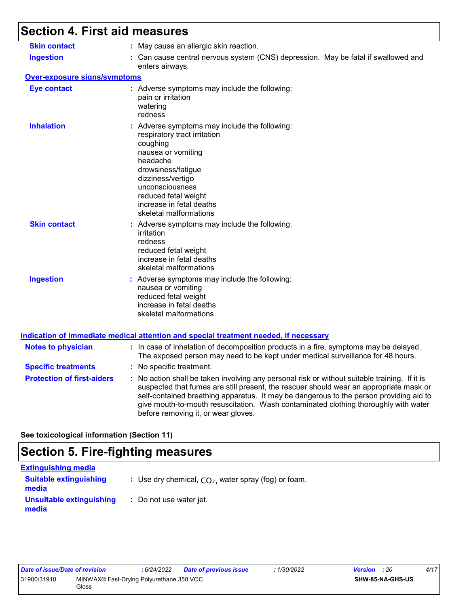# **Section 4. First aid measures**

| <b>Skin contact</b>                 |                                                                                                                                                                                                                                                                                                                                                                                                                 |
|-------------------------------------|-----------------------------------------------------------------------------------------------------------------------------------------------------------------------------------------------------------------------------------------------------------------------------------------------------------------------------------------------------------------------------------------------------------------|
|                                     | : May cause an allergic skin reaction.                                                                                                                                                                                                                                                                                                                                                                          |
| <b>Ingestion</b>                    | : Can cause central nervous system (CNS) depression. May be fatal if swallowed and<br>enters airways.                                                                                                                                                                                                                                                                                                           |
| <b>Over-exposure signs/symptoms</b> |                                                                                                                                                                                                                                                                                                                                                                                                                 |
| <b>Eye contact</b>                  | : Adverse symptoms may include the following:<br>pain or irritation<br>watering<br>redness                                                                                                                                                                                                                                                                                                                      |
| <b>Inhalation</b>                   | : Adverse symptoms may include the following:<br>respiratory tract irritation<br>coughing<br>nausea or vomiting<br>headache<br>drowsiness/fatigue<br>dizziness/vertigo<br>unconsciousness<br>reduced fetal weight<br>increase in fetal deaths<br>skeletal malformations                                                                                                                                         |
| <b>Skin contact</b>                 | : Adverse symptoms may include the following:<br>irritation<br>redness<br>reduced fetal weight<br>increase in fetal deaths<br>skeletal malformations                                                                                                                                                                                                                                                            |
| <b>Ingestion</b>                    | : Adverse symptoms may include the following:<br>nausea or vomiting<br>reduced fetal weight<br>increase in fetal deaths<br>skeletal malformations<br><u>Indication of immediate medical attention and special treatment needed, if necessary</u>                                                                                                                                                                |
|                                     |                                                                                                                                                                                                                                                                                                                                                                                                                 |
| <b>Notes to physician</b>           | : In case of inhalation of decomposition products in a fire, symptoms may be delayed.<br>The exposed person may need to be kept under medical surveillance for 48 hours.                                                                                                                                                                                                                                        |
| <b>Specific treatments</b>          | : No specific treatment.                                                                                                                                                                                                                                                                                                                                                                                        |
| <b>Protection of first-aiders</b>   | : No action shall be taken involving any personal risk or without suitable training. If it is<br>suspected that fumes are still present, the rescuer should wear an appropriate mask or<br>self-contained breathing apparatus. It may be dangerous to the person providing aid to<br>give mouth-to-mouth resuscitation. Wash contaminated clothing thoroughly with water<br>before removing it, or wear gloves. |

**See toxicological information (Section 11)**

# **Section 5. Fire-fighting measures**

| <b>Extinguishing media</b>             |                                                        |
|----------------------------------------|--------------------------------------------------------|
| <b>Suitable extinguishing</b><br>media | : Use dry chemical, $CO2$ , water spray (fog) or foam. |
| Unsuitable extinguishing<br>media      | : Do not use water jet.                                |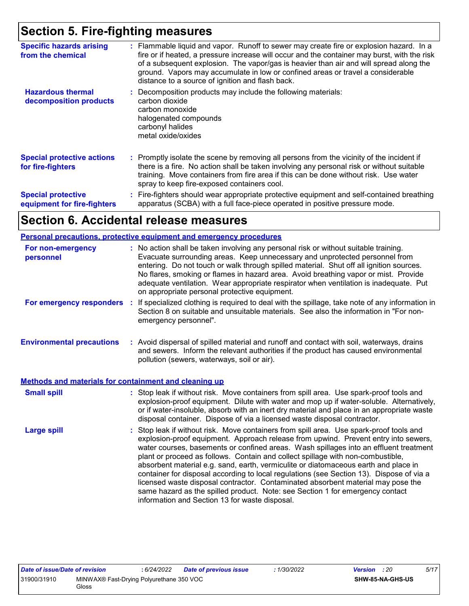# **Section 5. Fire-fighting measures**

| <b>Specific hazards arising</b><br>from the chemical     | : Flammable liquid and vapor. Runoff to sewer may create fire or explosion hazard. In a<br>fire or if heated, a pressure increase will occur and the container may burst, with the risk<br>of a subsequent explosion. The vapor/gas is heavier than air and will spread along the<br>ground. Vapors may accumulate in low or confined areas or travel a considerable<br>distance to a source of ignition and flash back. |
|----------------------------------------------------------|--------------------------------------------------------------------------------------------------------------------------------------------------------------------------------------------------------------------------------------------------------------------------------------------------------------------------------------------------------------------------------------------------------------------------|
| <b>Hazardous thermal</b><br>decomposition products       | : Decomposition products may include the following materials:<br>carbon dioxide<br>carbon monoxide<br>halogenated compounds<br>carbonyl halides<br>metal oxide/oxides                                                                                                                                                                                                                                                    |
| <b>Special protective actions</b><br>for fire-fighters   | : Promptly isolate the scene by removing all persons from the vicinity of the incident if<br>there is a fire. No action shall be taken involving any personal risk or without suitable<br>training. Move containers from fire area if this can be done without risk. Use water<br>spray to keep fire-exposed containers cool.                                                                                            |
| <b>Special protective</b><br>equipment for fire-fighters | : Fire-fighters should wear appropriate protective equipment and self-contained breathing<br>apparatus (SCBA) with a full face-piece operated in positive pressure mode.                                                                                                                                                                                                                                                 |

## **Section 6. Accidental release measures**

|                                                              | <b>Personal precautions, protective equipment and emergency procedures</b>                                                                                                                                                                                                                                                                                                                                                                                                                                                                                                                                                                                                                                                                                           |
|--------------------------------------------------------------|----------------------------------------------------------------------------------------------------------------------------------------------------------------------------------------------------------------------------------------------------------------------------------------------------------------------------------------------------------------------------------------------------------------------------------------------------------------------------------------------------------------------------------------------------------------------------------------------------------------------------------------------------------------------------------------------------------------------------------------------------------------------|
| For non-emergency<br>personnel                               | : No action shall be taken involving any personal risk or without suitable training.<br>Evacuate surrounding areas. Keep unnecessary and unprotected personnel from<br>entering. Do not touch or walk through spilled material. Shut off all ignition sources.<br>No flares, smoking or flames in hazard area. Avoid breathing vapor or mist. Provide<br>adequate ventilation. Wear appropriate respirator when ventilation is inadequate. Put<br>on appropriate personal protective equipment.                                                                                                                                                                                                                                                                      |
| For emergency responders :                                   | If specialized clothing is required to deal with the spillage, take note of any information in<br>Section 8 on suitable and unsuitable materials. See also the information in "For non-<br>emergency personnel".                                                                                                                                                                                                                                                                                                                                                                                                                                                                                                                                                     |
| <b>Environmental precautions</b>                             | : Avoid dispersal of spilled material and runoff and contact with soil, waterways, drains<br>and sewers. Inform the relevant authorities if the product has caused environmental<br>pollution (sewers, waterways, soil or air).                                                                                                                                                                                                                                                                                                                                                                                                                                                                                                                                      |
| <b>Methods and materials for containment and cleaning up</b> |                                                                                                                                                                                                                                                                                                                                                                                                                                                                                                                                                                                                                                                                                                                                                                      |
| <b>Small spill</b>                                           | : Stop leak if without risk. Move containers from spill area. Use spark-proof tools and<br>explosion-proof equipment. Dilute with water and mop up if water-soluble. Alternatively,<br>or if water-insoluble, absorb with an inert dry material and place in an appropriate waste<br>disposal container. Dispose of via a licensed waste disposal contractor.                                                                                                                                                                                                                                                                                                                                                                                                        |
| <b>Large spill</b>                                           | : Stop leak if without risk. Move containers from spill area. Use spark-proof tools and<br>explosion-proof equipment. Approach release from upwind. Prevent entry into sewers,<br>water courses, basements or confined areas. Wash spillages into an effluent treatment<br>plant or proceed as follows. Contain and collect spillage with non-combustible,<br>absorbent material e.g. sand, earth, vermiculite or diatomaceous earth and place in<br>container for disposal according to local regulations (see Section 13). Dispose of via a<br>licensed waste disposal contractor. Contaminated absorbent material may pose the<br>same hazard as the spilled product. Note: see Section 1 for emergency contact<br>information and Section 13 for waste disposal. |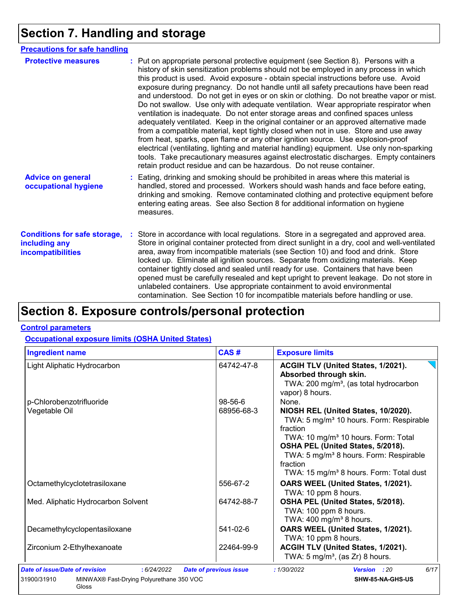# **Section 7. Handling and storage**

| <b>Precautions for safe handling</b>                                      |                                                                                                                                                                                                                                                                                                                                                                                                                                                                                                                                                                                                                                                                                                                                                                                                                                                                                                                                                                                                                                                                                                                                                                      |
|---------------------------------------------------------------------------|----------------------------------------------------------------------------------------------------------------------------------------------------------------------------------------------------------------------------------------------------------------------------------------------------------------------------------------------------------------------------------------------------------------------------------------------------------------------------------------------------------------------------------------------------------------------------------------------------------------------------------------------------------------------------------------------------------------------------------------------------------------------------------------------------------------------------------------------------------------------------------------------------------------------------------------------------------------------------------------------------------------------------------------------------------------------------------------------------------------------------------------------------------------------|
| <b>Protective measures</b>                                                | : Put on appropriate personal protective equipment (see Section 8). Persons with a<br>history of skin sensitization problems should not be employed in any process in which<br>this product is used. Avoid exposure - obtain special instructions before use. Avoid<br>exposure during pregnancy. Do not handle until all safety precautions have been read<br>and understood. Do not get in eyes or on skin or clothing. Do not breathe vapor or mist.<br>Do not swallow. Use only with adequate ventilation. Wear appropriate respirator when<br>ventilation is inadequate. Do not enter storage areas and confined spaces unless<br>adequately ventilated. Keep in the original container or an approved alternative made<br>from a compatible material, kept tightly closed when not in use. Store and use away<br>from heat, sparks, open flame or any other ignition source. Use explosion-proof<br>electrical (ventilating, lighting and material handling) equipment. Use only non-sparking<br>tools. Take precautionary measures against electrostatic discharges. Empty containers<br>retain product residue and can be hazardous. Do not reuse container. |
| <b>Advice on general</b><br>occupational hygiene                          | : Eating, drinking and smoking should be prohibited in areas where this material is<br>handled, stored and processed. Workers should wash hands and face before eating,<br>drinking and smoking. Remove contaminated clothing and protective equipment before<br>entering eating areas. See also Section 8 for additional information on hygiene<br>measures.                                                                                                                                                                                                                                                                                                                                                                                                                                                                                                                                                                                                                                                                                                                                                                                                        |
| <b>Conditions for safe storage,</b><br>including any<br>incompatibilities | : Store in accordance with local regulations. Store in a segregated and approved area.<br>Store in original container protected from direct sunlight in a dry, cool and well-ventilated<br>area, away from incompatible materials (see Section 10) and food and drink. Store<br>locked up. Eliminate all ignition sources. Separate from oxidizing materials. Keep<br>container tightly closed and sealed until ready for use. Containers that have been<br>opened must be carefully resealed and kept upright to prevent leakage. Do not store in<br>unlabeled containers. Use appropriate containment to avoid environmental<br>contamination. See Section 10 for incompatible materials before handling or use.                                                                                                                                                                                                                                                                                                                                                                                                                                                   |

# **Section 8. Exposure controls/personal protection**

#### **Control parameters**

Gloss

#### **Occupational exposure limits (OSHA United States)**

| <b>Ingredient name</b>                                  | CAS#                          | <b>Exposure limits</b>                                                                                                                                                                                                                                                                                                  |  |  |
|---------------------------------------------------------|-------------------------------|-------------------------------------------------------------------------------------------------------------------------------------------------------------------------------------------------------------------------------------------------------------------------------------------------------------------------|--|--|
| Light Aliphatic Hydrocarbon                             | 64742-47-8                    | ACGIH TLV (United States, 1/2021).<br>Absorbed through skin.<br>TWA: 200 mg/m <sup>3</sup> , (as total hydrocarbon<br>vapor) 8 hours.                                                                                                                                                                                   |  |  |
| p-Chlorobenzotrifluoride                                | 98-56-6                       | None.                                                                                                                                                                                                                                                                                                                   |  |  |
| Vegetable Oil                                           | 68956-68-3                    | NIOSH REL (United States, 10/2020).<br>TWA: 5 mg/m <sup>3</sup> 10 hours. Form: Respirable<br>fraction<br>TWA: 10 mg/m <sup>3</sup> 10 hours. Form: Total<br>OSHA PEL (United States, 5/2018).<br>TWA: 5 mg/m <sup>3</sup> 8 hours. Form: Respirable<br>fraction<br>TWA: 15 mg/m <sup>3</sup> 8 hours. Form: Total dust |  |  |
| Octamethylcyclotetrasiloxane                            | 556-67-2                      | OARS WEEL (United States, 1/2021).<br>TWA: 10 ppm 8 hours.                                                                                                                                                                                                                                                              |  |  |
| Med. Aliphatic Hydrocarbon Solvent                      | 64742-88-7                    | OSHA PEL (United States, 5/2018).<br>TWA: 100 ppm 8 hours.<br>TWA: $400 \text{ mg/m}^3$ 8 hours.                                                                                                                                                                                                                        |  |  |
| Decamethylcyclopentasiloxane                            | 541-02-6                      | OARS WEEL (United States, 1/2021).<br>TWA: 10 ppm 8 hours.                                                                                                                                                                                                                                                              |  |  |
| Zirconium 2-Ethylhexanoate                              | 22464-99-9                    | ACGIH TLV (United States, 1/2021).<br>TWA: 5 mg/m <sup>3</sup> , (as Zr) 8 hours.                                                                                                                                                                                                                                       |  |  |
| Date of issue/Date of revision<br>:6/24/2022            | <b>Date of previous issue</b> | 6/17<br>: 1/30/2022<br>Version : 20                                                                                                                                                                                                                                                                                     |  |  |
| MINWAX® Fast-Drying Polyurethane 350 VOC<br>31900/31910 |                               | SHW-85-NA-GHS-US                                                                                                                                                                                                                                                                                                        |  |  |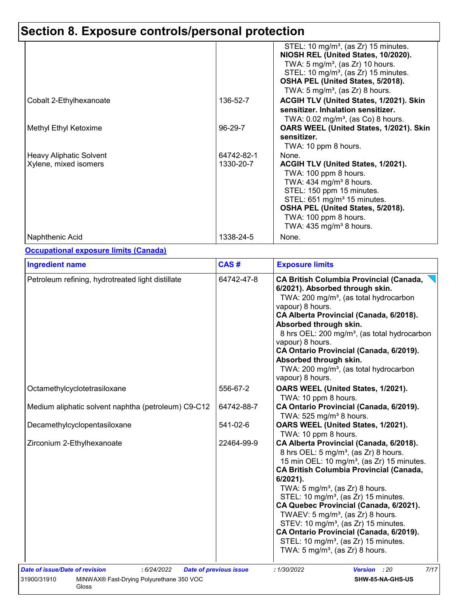# **Section 8. Exposure controls/personal protection**

|                                                         |                         | STEL: 10 mg/m <sup>3</sup> , (as $Zr$ ) 15 minutes.<br>NIOSH REL (United States, 10/2020).<br>TWA: 5 mg/m <sup>3</sup> , (as Zr) 10 hours.<br>STEL: 10 mg/m <sup>3</sup> , (as Zr) 15 minutes.<br>OSHA PEL (United States, 5/2018).<br>TWA: 5 mg/m <sup>3</sup> , (as Zr) 8 hours.         |
|---------------------------------------------------------|-------------------------|--------------------------------------------------------------------------------------------------------------------------------------------------------------------------------------------------------------------------------------------------------------------------------------------|
| Cobalt 2-Ethylhexanoate                                 | 136-52-7                | ACGIH TLV (United States, 1/2021). Skin<br>sensitizer. Inhalation sensitizer.<br>TWA: $0.02 \text{ mg/m}^3$ , (as Co) 8 hours.                                                                                                                                                             |
| Methyl Ethyl Ketoxime                                   | 96-29-7                 | OARS WEEL (United States, 1/2021). Skin<br>sensitizer.<br>TWA: 10 ppm 8 hours.                                                                                                                                                                                                             |
| <b>Heavy Aliphatic Solvent</b><br>Xylene, mixed isomers | 64742-82-1<br>1330-20-7 | None.<br>ACGIH TLV (United States, 1/2021).<br>TWA: 100 ppm 8 hours.<br>TWA: $434$ mg/m <sup>3</sup> 8 hours.<br>STEL: 150 ppm 15 minutes.<br>STEL: 651 mg/m <sup>3</sup> 15 minutes.<br>OSHA PEL (United States, 5/2018).<br>TWA: 100 ppm 8 hours.<br>TWA: 435 mg/m <sup>3</sup> 8 hours. |
| Naphthenic Acid                                         | 1338-24-5               | None.                                                                                                                                                                                                                                                                                      |

#### **Occupational exposure limits (Canada)**

| <b>Ingredient name</b>                              | CAS#                                                                                                                                                                                                                                                                                                                                                                                                                                                                          | <b>Exposure limits</b>                                                                                                                                                                                                                                                                                                                                                                                                                                                                                                                                                                                                |
|-----------------------------------------------------|-------------------------------------------------------------------------------------------------------------------------------------------------------------------------------------------------------------------------------------------------------------------------------------------------------------------------------------------------------------------------------------------------------------------------------------------------------------------------------|-----------------------------------------------------------------------------------------------------------------------------------------------------------------------------------------------------------------------------------------------------------------------------------------------------------------------------------------------------------------------------------------------------------------------------------------------------------------------------------------------------------------------------------------------------------------------------------------------------------------------|
| Petroleum refining, hydrotreated light distillate   | 64742-47-8<br><b>CA British Columbia Provincial (Canada,</b><br>6/2021). Absorbed through skin.<br>TWA: 200 mg/m <sup>3</sup> , (as total hydrocarbon<br>vapour) 8 hours.<br>CA Alberta Provincial (Canada, 6/2018).<br>Absorbed through skin.<br>8 hrs OEL: 200 mg/m <sup>3</sup> , (as total hydrocarbon<br>vapour) 8 hours.<br>CA Ontario Provincial (Canada, 6/2019).<br>Absorbed through skin.<br>TWA: 200 mg/m <sup>3</sup> , (as total hydrocarbon<br>vapour) 8 hours. |                                                                                                                                                                                                                                                                                                                                                                                                                                                                                                                                                                                                                       |
| Octamethylcyclotetrasiloxane                        | 556-67-2                                                                                                                                                                                                                                                                                                                                                                                                                                                                      | OARS WEEL (United States, 1/2021).<br>TWA: 10 ppm 8 hours.                                                                                                                                                                                                                                                                                                                                                                                                                                                                                                                                                            |
| Medium aliphatic solvent naphtha (petroleum) C9-C12 | 64742-88-7                                                                                                                                                                                                                                                                                                                                                                                                                                                                    | CA Ontario Provincial (Canada, 6/2019).<br>TWA: 525 mg/m <sup>3</sup> 8 hours.                                                                                                                                                                                                                                                                                                                                                                                                                                                                                                                                        |
| Decamethylcyclopentasiloxane                        | 541-02-6                                                                                                                                                                                                                                                                                                                                                                                                                                                                      | OARS WEEL (United States, 1/2021).<br>TWA: 10 ppm 8 hours.                                                                                                                                                                                                                                                                                                                                                                                                                                                                                                                                                            |
| Zirconium 2-Ethylhexanoate                          | 22464-99-9                                                                                                                                                                                                                                                                                                                                                                                                                                                                    | CA Alberta Provincial (Canada, 6/2018).<br>8 hrs OEL: 5 mg/m <sup>3</sup> , (as Zr) 8 hours.<br>15 min OEL: 10 mg/m <sup>3</sup> , (as Zr) 15 minutes.<br><b>CA British Columbia Provincial (Canada,</b><br>6/2021).<br>TWA: $5 \text{ mg/m}^3$ , (as Zr) 8 hours.<br>STEL: 10 mg/m <sup>3</sup> , (as Zr) 15 minutes.<br>CA Quebec Provincial (Canada, 6/2021).<br>TWAEV: 5 mg/m <sup>3</sup> , (as $Zr$ ) 8 hours.<br>STEV: 10 mg/m <sup>3</sup> , (as Zr) 15 minutes.<br>CA Ontario Provincial (Canada, 6/2019).<br>STEL: 10 mg/m <sup>3</sup> , (as Zr) 15 minutes.<br>TWA: $5 \text{ mg/m}^3$ , (as Zr) 8 hours. |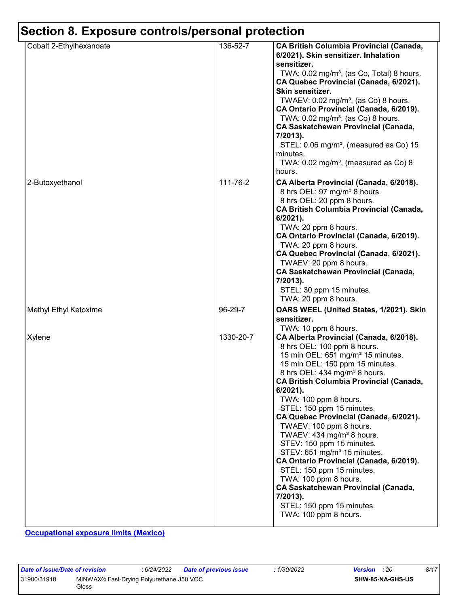# **Section 8. Exposure controls/personal protection**

| Cobalt 2-Ethylhexanoate | 136-52-7  | <b>CA British Columbia Provincial (Canada,</b><br>6/2021). Skin sensitizer. Inhalation<br>sensitizer.<br>TWA: 0.02 mg/m <sup>3</sup> , (as Co, Total) 8 hours.<br>CA Quebec Provincial (Canada, 6/2021).<br>Skin sensitizer.<br>TWAEV: 0.02 mg/m <sup>3</sup> , (as Co) 8 hours.<br>CA Ontario Provincial (Canada, 6/2019).<br>TWA: $0.02$ mg/m <sup>3</sup> , (as Co) 8 hours.<br><b>CA Saskatchewan Provincial (Canada,</b><br>7/2013).<br>STEL: 0.06 mg/m <sup>3</sup> , (measured as Co) 15<br>minutes.<br>TWA: $0.02$ mg/m <sup>3</sup> , (measured as Co) 8<br>hours.                                                                                                                                                    |
|-------------------------|-----------|--------------------------------------------------------------------------------------------------------------------------------------------------------------------------------------------------------------------------------------------------------------------------------------------------------------------------------------------------------------------------------------------------------------------------------------------------------------------------------------------------------------------------------------------------------------------------------------------------------------------------------------------------------------------------------------------------------------------------------|
| 2-Butoxyethanol         | 111-76-2  | CA Alberta Provincial (Canada, 6/2018).<br>8 hrs OEL: 97 mg/m <sup>3</sup> 8 hours.<br>8 hrs OEL: 20 ppm 8 hours.<br><b>CA British Columbia Provincial (Canada,</b><br>6/2021).<br>TWA: 20 ppm 8 hours.<br>CA Ontario Provincial (Canada, 6/2019).<br>TWA: 20 ppm 8 hours.<br>CA Quebec Provincial (Canada, 6/2021).<br>TWAEV: 20 ppm 8 hours.<br><b>CA Saskatchewan Provincial (Canada,</b><br>7/2013).<br>STEL: 30 ppm 15 minutes.<br>TWA: 20 ppm 8 hours.                                                                                                                                                                                                                                                                   |
| Methyl Ethyl Ketoxime   | 96-29-7   | OARS WEEL (United States, 1/2021). Skin<br>sensitizer.<br>TWA: 10 ppm 8 hours.                                                                                                                                                                                                                                                                                                                                                                                                                                                                                                                                                                                                                                                 |
| Xylene                  | 1330-20-7 | CA Alberta Provincial (Canada, 6/2018).<br>8 hrs OEL: 100 ppm 8 hours.<br>15 min OEL: 651 mg/m <sup>3</sup> 15 minutes.<br>15 min OEL: 150 ppm 15 minutes.<br>8 hrs OEL: 434 mg/m <sup>3</sup> 8 hours.<br>CA British Columbia Provincial (Canada,<br>$6/2021$ ).<br>TWA: 100 ppm 8 hours.<br>STEL: 150 ppm 15 minutes.<br>CA Quebec Provincial (Canada, 6/2021).<br>TWAEV: 100 ppm 8 hours.<br>TWAEV: 434 mg/m <sup>3</sup> 8 hours.<br>STEV: 150 ppm 15 minutes.<br>STEV: 651 mg/m <sup>3</sup> 15 minutes.<br>CA Ontario Provincial (Canada, 6/2019).<br>STEL: 150 ppm 15 minutes.<br>TWA: 100 ppm 8 hours.<br><b>CA Saskatchewan Provincial (Canada,</b><br>7/2013).<br>STEL: 150 ppm 15 minutes.<br>TWA: 100 ppm 8 hours. |

**Occupational exposure limits (Mexico)**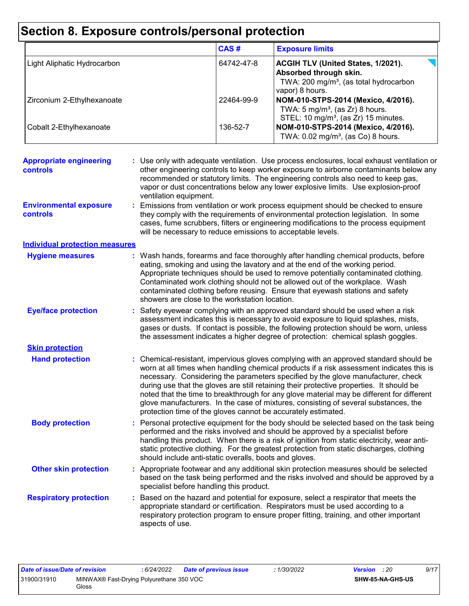# **Section 8. Exposure controls/personal protection**

|                                            |                                                             | CAS#       | <b>Exposure limits</b>                                                                                                                                                                                                                                                                                                                                                                                                                                                                                                                                                                                                 |
|--------------------------------------------|-------------------------------------------------------------|------------|------------------------------------------------------------------------------------------------------------------------------------------------------------------------------------------------------------------------------------------------------------------------------------------------------------------------------------------------------------------------------------------------------------------------------------------------------------------------------------------------------------------------------------------------------------------------------------------------------------------------|
| Light Aliphatic Hydrocarbon                |                                                             | 64742-47-8 | ACGIH TLV (United States, 1/2021).<br>Absorbed through skin.<br>TWA: 200 mg/m <sup>3</sup> , (as total hydrocarbon                                                                                                                                                                                                                                                                                                                                                                                                                                                                                                     |
| Zirconium 2-Ethylhexanoate                 |                                                             | 22464-99-9 | vapor) 8 hours.<br>NOM-010-STPS-2014 (Mexico, 4/2016).<br>TWA: $5 \text{ mg/m}^3$ , (as Zr) 8 hours.                                                                                                                                                                                                                                                                                                                                                                                                                                                                                                                   |
| Cobalt 2-Ethylhexanoate                    |                                                             | 136-52-7   | STEL: 10 mg/m <sup>3</sup> , (as Zr) 15 minutes.<br>NOM-010-STPS-2014 (Mexico, 4/2016).<br>TWA: 0.02 mg/m <sup>3</sup> , (as Co) 8 hours.                                                                                                                                                                                                                                                                                                                                                                                                                                                                              |
| <b>Appropriate engineering</b><br>controls | ventilation equipment.                                      |            | : Use only with adequate ventilation. Use process enclosures, local exhaust ventilation or<br>other engineering controls to keep worker exposure to airborne contaminants below any<br>recommended or statutory limits. The engineering controls also need to keep gas,<br>vapor or dust concentrations below any lower explosive limits. Use explosion-proof                                                                                                                                                                                                                                                          |
| <b>Environmental exposure</b><br>controls  | will be necessary to reduce emissions to acceptable levels. |            | Emissions from ventilation or work process equipment should be checked to ensure<br>they comply with the requirements of environmental protection legislation. In some<br>cases, fume scrubbers, filters or engineering modifications to the process equipment                                                                                                                                                                                                                                                                                                                                                         |
| <b>Individual protection measures</b>      |                                                             |            |                                                                                                                                                                                                                                                                                                                                                                                                                                                                                                                                                                                                                        |
| <b>Hygiene measures</b>                    | showers are close to the workstation location.              |            | : Wash hands, forearms and face thoroughly after handling chemical products, before<br>eating, smoking and using the lavatory and at the end of the working period.<br>Appropriate techniques should be used to remove potentially contaminated clothing.<br>Contaminated work clothing should not be allowed out of the workplace. Wash<br>contaminated clothing before reusing. Ensure that eyewash stations and safety                                                                                                                                                                                              |
| <b>Eye/face protection</b>                 |                                                             |            | : Safety eyewear complying with an approved standard should be used when a risk<br>assessment indicates this is necessary to avoid exposure to liquid splashes, mists,<br>gases or dusts. If contact is possible, the following protection should be worn, unless<br>the assessment indicates a higher degree of protection: chemical splash goggles.                                                                                                                                                                                                                                                                  |
| <b>Skin protection</b>                     |                                                             |            |                                                                                                                                                                                                                                                                                                                                                                                                                                                                                                                                                                                                                        |
| <b>Hand protection</b>                     |                                                             |            | : Chemical-resistant, impervious gloves complying with an approved standard should be<br>worn at all times when handling chemical products if a risk assessment indicates this is<br>necessary. Considering the parameters specified by the glove manufacturer, check<br>during use that the gloves are still retaining their protective properties. It should be<br>noted that the time to breakthrough for any glove material may be different for different<br>glove manufacturers. In the case of mixtures, consisting of several substances, the<br>protection time of the gloves cannot be accurately estimated. |
| <b>Body protection</b>                     | should include anti-static overalls, boots and gloves.      |            | Personal protective equipment for the body should be selected based on the task being<br>performed and the risks involved and should be approved by a specialist before<br>handling this product. When there is a risk of ignition from static electricity, wear anti-<br>static protective clothing. For the greatest protection from static discharges, clothing                                                                                                                                                                                                                                                     |
| <b>Other skin protection</b>               | specialist before handling this product.                    |            | : Appropriate footwear and any additional skin protection measures should be selected<br>based on the task being performed and the risks involved and should be approved by a                                                                                                                                                                                                                                                                                                                                                                                                                                          |
| <b>Respiratory protection</b>              | aspects of use.                                             |            | Based on the hazard and potential for exposure, select a respirator that meets the<br>appropriate standard or certification. Respirators must be used according to a<br>respiratory protection program to ensure proper fitting, training, and other important                                                                                                                                                                                                                                                                                                                                                         |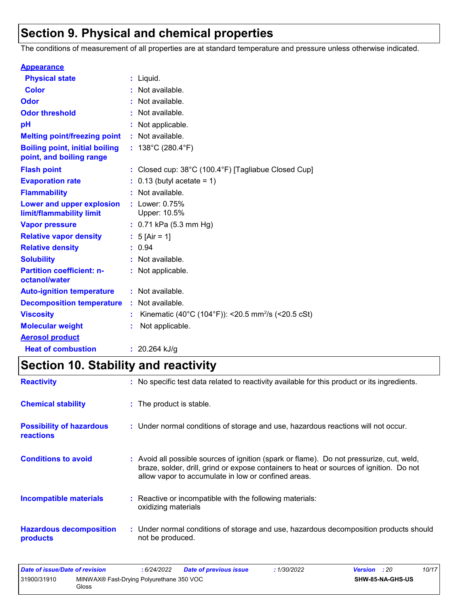# **Section 9. Physical and chemical properties**

The conditions of measurement of all properties are at standard temperature and pressure unless otherwise indicated.

| <b>Appearance</b>                                                 |                                                                          |
|-------------------------------------------------------------------|--------------------------------------------------------------------------|
| <b>Physical state</b>                                             | $:$ Liquid.                                                              |
| <b>Color</b>                                                      | : Not available.                                                         |
| Odor                                                              | : Not available.                                                         |
| <b>Odor threshold</b>                                             | : Not available.                                                         |
| рH                                                                | : Not applicable.                                                        |
| <b>Melting point/freezing point</b>                               | : Not available.                                                         |
| <b>Boiling point, initial boiling</b><br>point, and boiling range | : $138^{\circ}$ C (280.4 $^{\circ}$ F)                                   |
| <b>Flash point</b>                                                | : Closed cup: $38^{\circ}$ C (100.4 $^{\circ}$ F) [Tagliabue Closed Cup] |
| <b>Evaporation rate</b>                                           | $0.13$ (butyl acetate = 1)                                               |
| <b>Flammability</b>                                               | : Not available.                                                         |
| Lower and upper explosion<br>limit/flammability limit             | : Lower: 0.75%<br>Upper: 10.5%                                           |
| <b>Vapor pressure</b>                                             | $: 0.71$ kPa (5.3 mm Hg)                                                 |
| <b>Relative vapor density</b>                                     | : $5$ [Air = 1]                                                          |
| <b>Relative density</b>                                           | : 0.94                                                                   |
| <b>Solubility</b>                                                 | : Not available.                                                         |
| <b>Partition coefficient: n-</b><br>octanol/water                 | : Not applicable.                                                        |
| <b>Auto-ignition temperature</b>                                  | : Not available.                                                         |
| <b>Decomposition temperature</b>                                  | : Not available.                                                         |
| <b>Viscosity</b>                                                  | Kinematic (40°C (104°F)): <20.5 mm <sup>2</sup> /s (<20.5 cSt)           |
| <b>Molecular weight</b>                                           | Not applicable.                                                          |
| <b>Aerosol product</b>                                            |                                                                          |
| <b>Heat of combustion</b>                                         | : $20.264$ kJ/g                                                          |

# **Section 10. Stability and reactivity**

| <b>Reactivity</b>                                   | : No specific test data related to reactivity available for this product or its ingredients.                                                                                                                                             |
|-----------------------------------------------------|------------------------------------------------------------------------------------------------------------------------------------------------------------------------------------------------------------------------------------------|
| <b>Chemical stability</b>                           | $:$ The product is stable.                                                                                                                                                                                                               |
| <b>Possibility of hazardous</b><br><b>reactions</b> | : Under normal conditions of storage and use, hazardous reactions will not occur.                                                                                                                                                        |
| <b>Conditions to avoid</b>                          | Avoid all possible sources of ignition (spark or flame). Do not pressurize, cut, weld,<br>braze, solder, drill, grind or expose containers to heat or sources of ignition. Do not<br>allow vapor to accumulate in low or confined areas. |
| <b>Incompatible materials</b>                       | : Reactive or incompatible with the following materials:<br>oxidizing materials                                                                                                                                                          |
| <b>Hazardous decomposition</b><br>products          | : Under normal conditions of storage and use, hazardous decomposition products should<br>not be produced.                                                                                                                                |

| Date of issue/Date of revision                          |       | 6/24/2022 | <b>Date of previous issue</b> | 1/30/2022 | <b>Version</b> : 20 |  | 10/17 |
|---------------------------------------------------------|-------|-----------|-------------------------------|-----------|---------------------|--|-------|
| 31900/31910<br>MINWAX® Fast-Drying Polyurethane 350 VOC |       |           |                               |           | SHW-85-NA-GHS-US    |  |       |
|                                                         | Gloss |           |                               |           |                     |  |       |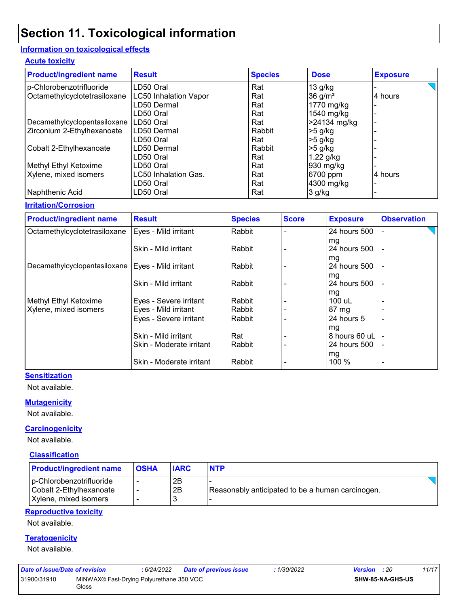# **Section 11. Toxicological information**

#### **Information on toxicological effects**

#### **Acute toxicity**

| <b>Product/ingredient name</b> | <b>Result</b>                | <b>Species</b> | <b>Dose</b>         | <b>Exposure</b> |
|--------------------------------|------------------------------|----------------|---------------------|-----------------|
| p-Chlorobenzotrifluoride       | LD50 Oral                    | Rat            | $13$ g/kg           |                 |
| Octamethylcyclotetrasiloxane   | <b>LC50 Inhalation Vapor</b> | Rat            | 36 g/m <sup>3</sup> | 4 hours         |
|                                | LD50 Dermal                  | Rat            | 1770 mg/kg          |                 |
|                                | LD50 Oral                    | Rat            | 1540 mg/kg          |                 |
| Decamethylcyclopentasiloxane   | LD50 Oral                    | Rat            | >24134 mg/kg        |                 |
| Zirconium 2-Ethylhexanoate     | ILD50 Dermal                 | Rabbit         | $>5$ g/kg           |                 |
|                                | LD50 Oral                    | Rat            | $>5$ g/kg           |                 |
| Cobalt 2-Ethylhexanoate        | LD50 Dermal                  | Rabbit         | $>5$ g/kg           |                 |
|                                | LD50 Oral                    | Rat            | $1.22$ g/kg         |                 |
| Methyl Ethyl Ketoxime          | LD50 Oral                    | Rat            | 930 mg/kg           |                 |
| Xylene, mixed isomers          | <b>LC50 Inhalation Gas.</b>  | Rat            | 6700 ppm            | 4 hours         |
|                                | LD50 Oral                    | Rat            | 4300 mg/kg          |                 |
| Naphthenic Acid                | LD50 Oral                    | Rat            | 3 g/kg              |                 |

#### **Irritation/Corrosion**

| <b>Product/ingredient name</b> | <b>Result</b>            | <b>Species</b> | <b>Score</b> | <b>Exposure</b>    | <b>Observation</b> |
|--------------------------------|--------------------------|----------------|--------------|--------------------|--------------------|
| Octamethylcyclotetrasiloxane   | Eyes - Mild irritant     | Rabbit         |              | 24 hours 500       |                    |
|                                | Skin - Mild irritant     | Rabbit         |              | mg<br>24 hours 500 |                    |
| Decamethylcyclopentasiloxane   | Eyes - Mild irritant     | Rabbit         |              | mg<br>24 hours 500 |                    |
|                                | Skin - Mild irritant     | Rabbit         |              | mg<br>24 hours 500 | $\overline{a}$     |
| Methyl Ethyl Ketoxime          | Eyes - Severe irritant   | Rabbit         |              | mg<br>100 uL       |                    |
| Xylene, mixed isomers          | Eyes - Mild irritant     | Rabbit         |              | $87 \text{ mg}$    |                    |
|                                | Eyes - Severe irritant   | Rabbit         |              | 24 hours 5<br>mg   | $\blacksquare$     |
|                                | Skin - Mild irritant     | Rat            |              | 8 hours 60 uL      |                    |
|                                | Skin - Moderate irritant | Rabbit         |              | 24 hours 500       |                    |
|                                | Skin - Moderate irritant | Rabbit         |              | mg<br>100 %        |                    |

#### **Sensitization**

Not available.

#### **Mutagenicity**

Not available.

#### **Carcinogenicity**

Not available.

#### **Classification**

| <b>Product/ingredient name</b>                                               | <b>OSHA</b>                   | <b>IARC</b> | <b>NTP</b>                                       |  |
|------------------------------------------------------------------------------|-------------------------------|-------------|--------------------------------------------------|--|
| p-Chlorobenzotrifluoride<br>Cobalt 2-Ethylhexanoate<br>Xylene, mixed isomers | ٠<br>$\overline{\phantom{a}}$ | 2Β<br>2B    | Reasonably anticipated to be a human carcinogen. |  |

#### **Reproductive toxicity**

Not available.

#### **Teratogenicity**

Not available.

| Date of issue/Date of revision |                                                   | : 6/24/2022 | <b>Date of previous issue</b> | : 1/30/2022             | <b>Version</b> : 20 | 11/17 |
|--------------------------------|---------------------------------------------------|-------------|-------------------------------|-------------------------|---------------------|-------|
| 31900/31910                    | MINWAX® Fast-Drying Polyurethane 350 VOC<br>Gloss |             |                               | <b>SHW-85-NA-GHS-US</b> |                     |       |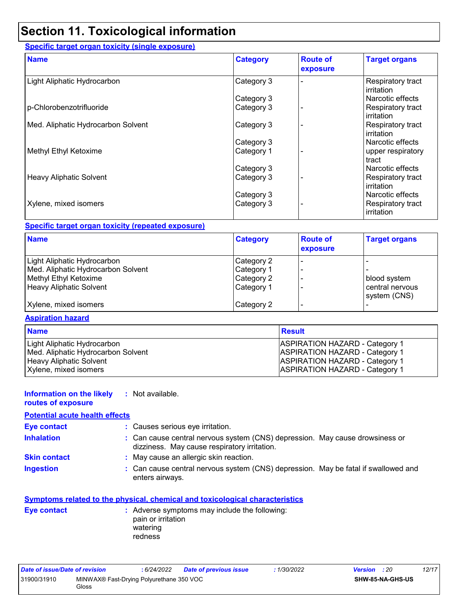# **Section 11. Toxicological information**

#### **Specific target organ toxicity (single exposure)**

| <b>Name</b>                        | <b>Category</b> | <b>Route of</b><br>exposure | <b>Target organs</b>                   |
|------------------------------------|-----------------|-----------------------------|----------------------------------------|
| Light Aliphatic Hydrocarbon        | Category 3      |                             | Respiratory tract<br>irritation        |
|                                    | Category 3      |                             | Narcotic effects                       |
| p-Chlorobenzotrifluoride           | Category 3      |                             | Respiratory tract<br><b>irritation</b> |
| Med. Aliphatic Hydrocarbon Solvent | Category 3      |                             | Respiratory tract<br>irritation        |
|                                    | Category 3      |                             | Narcotic effects                       |
| Methyl Ethyl Ketoxime              | Category 1      |                             | upper respiratory<br>tract             |
|                                    | Category 3      |                             | Narcotic effects                       |
| <b>Heavy Aliphatic Solvent</b>     | Category 3      |                             | Respiratory tract<br>irritation        |
|                                    | Category 3      |                             | Narcotic effects                       |
| Xylene, mixed isomers              | Category 3      |                             | Respiratory tract<br><b>irritation</b> |

#### **Specific target organ toxicity (repeated exposure)**

| <b>Name</b>                        | <b>Category</b> | <b>Route of</b><br>exposure | <b>Target organs</b>            |
|------------------------------------|-----------------|-----------------------------|---------------------------------|
| Light Aliphatic Hydrocarbon        | Category 2      |                             |                                 |
| Med. Aliphatic Hydrocarbon Solvent | Category 1      |                             |                                 |
| Methyl Ethyl Ketoxime              | Category 2      |                             | blood system                    |
| Heavy Aliphatic Solvent            | Category 1      |                             | central nervous<br>system (CNS) |
| Xylene, mixed isomers              | Category 2      |                             |                                 |

#### **Aspiration hazard**

| <b>Name</b>                        | Result                                |
|------------------------------------|---------------------------------------|
| Light Aliphatic Hydrocarbon        | <b>ASPIRATION HAZARD - Category 1</b> |
| Med. Aliphatic Hydrocarbon Solvent | <b>ASPIRATION HAZARD - Category 1</b> |
| <b>Heavy Aliphatic Solvent</b>     | <b>ASPIRATION HAZARD - Category 1</b> |
| Xylene, mixed isomers              | <b>ASPIRATION HAZARD - Category 1</b> |

#### **Information on the likely :** Not available.

**routes of exposure**

#### **Potential acute health effects**

| : Causes serious eye irritation.<br><b>Eye contact</b> |  |
|--------------------------------------------------------|--|
|--------------------------------------------------------|--|

- **Inhalation <b>:** Can cause central nervous system (CNS) depression. May cause drowsiness or dizziness. May cause respiratory irritation.
- **Skin contact :** May cause an allergic skin reaction.
- Can cause central nervous system (CNS) depression. May be fatal if swallowed and enters airways. **Ingestion :**

#### **Symptoms related to the physical, chemical and toxicological characteristics**

**Eye contact :** Adverse symptoms may include the following: pain or irritation watering redness

| Date of issue/Date of revision                                   |  | : 6/24/2022 | <b>Date of previous issue</b> | : 1/30/2022             | <b>Version</b> : 20 |  | 12/17 |
|------------------------------------------------------------------|--|-------------|-------------------------------|-------------------------|---------------------|--|-------|
| 31900/31910<br>MINWAX® Fast-Drying Polyurethane 350 VOC<br>Gloss |  |             |                               | <b>SHW-85-NA-GHS-US</b> |                     |  |       |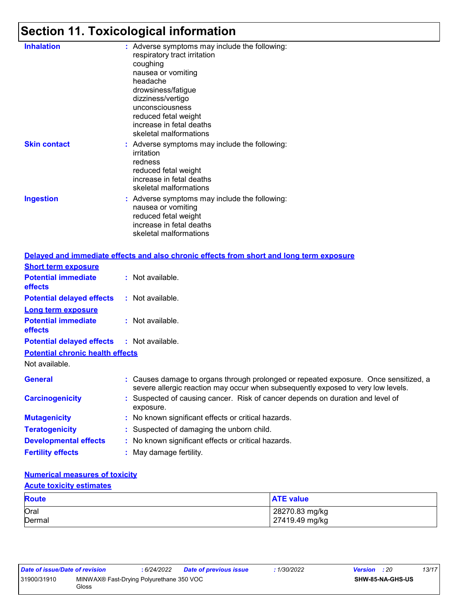# **Section 11. Toxicological information**

| <b>Inhalation</b>   | : Adverse symptoms may include the following:<br>respiratory tract irritation<br>coughing<br>nausea or vomiting<br>headache<br>drowsiness/fatigue<br>dizziness/vertigo<br>unconsciousness<br>reduced fetal weight<br>increase in fetal deaths<br>skeletal malformations |
|---------------------|-------------------------------------------------------------------------------------------------------------------------------------------------------------------------------------------------------------------------------------------------------------------------|
| <b>Skin contact</b> | : Adverse symptoms may include the following:<br>irritation<br>redness<br>reduced fetal weight<br>increase in fetal deaths<br>skeletal malformations                                                                                                                    |
| <b>Ingestion</b>    | : Adverse symptoms may include the following:<br>nausea or vomiting<br>reduced fetal weight<br>increase in fetal deaths<br>skeletal malformations                                                                                                                       |

|                                              | Delayed and immediate effects and also chronic effects from short and long term exposure                                                                                 |
|----------------------------------------------|--------------------------------------------------------------------------------------------------------------------------------------------------------------------------|
| <b>Short term exposure</b>                   |                                                                                                                                                                          |
| <b>Potential immediate</b><br><b>effects</b> | $\therefore$ Not available.                                                                                                                                              |
| <b>Potential delayed effects</b>             | $:$ Not available.                                                                                                                                                       |
| <b>Long term exposure</b>                    |                                                                                                                                                                          |
| <b>Potential immediate</b><br><b>effects</b> | $:$ Not available.                                                                                                                                                       |
| <b>Potential delayed effects</b>             | : Not available.                                                                                                                                                         |
| <b>Potential chronic health effects</b>      |                                                                                                                                                                          |
| Not available.                               |                                                                                                                                                                          |
| <b>General</b>                               | : Causes damage to organs through prolonged or repeated exposure. Once sensitized, a<br>severe allergic reaction may occur when subsequently exposed to very low levels. |
| <b>Carcinogenicity</b>                       | : Suspected of causing cancer. Risk of cancer depends on duration and level of<br>exposure.                                                                              |
| <b>Mutagenicity</b>                          | : No known significant effects or critical hazards.                                                                                                                      |
| <b>Teratogenicity</b>                        | : Suspected of damaging the unborn child.                                                                                                                                |
| <b>Developmental effects</b>                 | : No known significant effects or critical hazards.                                                                                                                      |
| <b>Fertility effects</b>                     | : May damage fertility.                                                                                                                                                  |

#### **Numerical measures of toxicity**

#### **Acute toxicity estimates**

| <b>Route</b>   | <b>ATE value</b>                 |
|----------------|----------------------------------|
| Oral<br>Dermal | 28270.83 mg/kg<br>27419.49 mg/kg |
|                |                                  |

| Date of issue/Date of revision |                                                   | : 6/24/2022 | <b>Date of previous issue</b> | : 1/30/2022 | <b>Version</b> : 20 |                         | 13/17 |
|--------------------------------|---------------------------------------------------|-------------|-------------------------------|-------------|---------------------|-------------------------|-------|
| 31900/31910                    | MINWAX® Fast-Drying Polyurethane 350 VOC<br>Gloss |             |                               |             |                     | <b>SHW-85-NA-GHS-US</b> |       |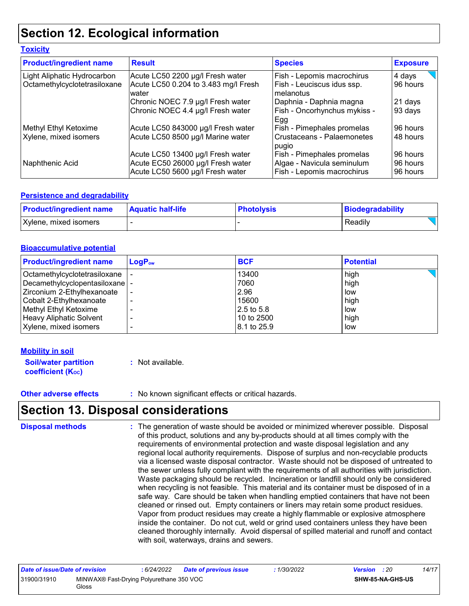# **Section 12. Ecological information**

| <b>Toxicity</b>                |                                                                                                            |                                                                                        |                                  |
|--------------------------------|------------------------------------------------------------------------------------------------------------|----------------------------------------------------------------------------------------|----------------------------------|
| <b>Product/ingredient name</b> | <b>Result</b>                                                                                              | <b>Species</b>                                                                         | <b>Exposure</b>                  |
| Light Aliphatic Hydrocarbon    | Acute LC50 2200 µg/l Fresh water                                                                           | Fish - Lepomis macrochirus                                                             | 4 days                           |
| Octamethylcyclotetrasiloxane   | Acute LC50 0.204 to 3.483 mg/l Fresh<br>water                                                              | Fish - Leuciscus idus ssp.<br>melanotus                                                | 96 hours                         |
|                                | Chronic NOEC 7.9 µg/l Fresh water                                                                          | Daphnia - Daphnia magna                                                                | 21 days                          |
|                                | Chronic NOEC 4.4 µg/l Fresh water                                                                          | Fish - Oncorhynchus mykiss -<br>Egg                                                    | 93 days                          |
| Methyl Ethyl Ketoxime          | Acute LC50 843000 µg/l Fresh water                                                                         | Fish - Pimephales promelas                                                             | 96 hours                         |
| Xylene, mixed isomers          | Acute LC50 8500 µg/l Marine water                                                                          | Crustaceans - Palaemonetes<br>pugio                                                    | 48 hours                         |
| Naphthenic Acid                | Acute LC50 13400 µg/l Fresh water<br>Acute EC50 26000 µg/l Fresh water<br>Acute LC50 5600 µg/l Fresh water | Fish - Pimephales promelas<br>Algae - Navicula seminulum<br>Fish - Lepomis macrochirus | 96 hours<br>96 hours<br>96 hours |

#### **Persistence and degradability**

| <b>Product/ingredient name</b> | <b>Aquatic half-life</b> | <b>Photolysis</b> | Biodegradability |
|--------------------------------|--------------------------|-------------------|------------------|
| Xylene, mixed isomers          |                          |                   | Readily          |

#### **Bioaccumulative potential**

| <b>Product/ingredient name</b>  | $\mathsf{LogP}_\mathsf{ow}$ | <b>BCF</b>             | <b>Potential</b> |
|---------------------------------|-----------------------------|------------------------|------------------|
| Octamethylcyclotetrasiloxane    |                             | 13400                  | high             |
| Decamethylcyclopentasiloxane  - |                             | 7060                   | high             |
| Zirconium 2-Ethylhexanoate      |                             | 2.96                   | low              |
| Cobalt 2-Ethylhexanoate         |                             | 15600                  | high             |
| Methyl Ethyl Ketoxime           |                             | $ 2.5 \text{ to } 5.8$ | low              |
| <b>Heavy Aliphatic Solvent</b>  |                             | 10 to 2500             | high             |
| Xylene, mixed isomers           |                             | 18.1 to 25.9           | low              |

#### **Mobility in soil**

| <b>Soil/water partition</b> | : Not available. |
|-----------------------------|------------------|
| <b>coefficient (Koc)</b>    |                  |

**Other adverse effects** : No known significant effects or critical hazards.

### **Section 13. Disposal considerations**

The generation of waste should be avoided or minimized wherever possible. Disposal of this product, solutions and any by-products should at all times comply with the requirements of environmental protection and waste disposal legislation and any regional local authority requirements. Dispose of surplus and non-recyclable products via a licensed waste disposal contractor. Waste should not be disposed of untreated to the sewer unless fully compliant with the requirements of all authorities with jurisdiction. Waste packaging should be recycled. Incineration or landfill should only be considered when recycling is not feasible. This material and its container must be disposed of in a safe way. Care should be taken when handling emptied containers that have not been cleaned or rinsed out. Empty containers or liners may retain some product residues. Vapor from product residues may create a highly flammable or explosive atmosphere inside the container. Do not cut, weld or grind used containers unless they have been cleaned thoroughly internally. Avoid dispersal of spilled material and runoff and contact with soil, waterways, drains and sewers. **Disposal methods :**

| Date of issue/Date of revision |                                                   | 6/24/2022 | <b>Date of previous issue</b> | : 1/30/2022 | <b>Version</b> : 20 |                         | 14/17 |
|--------------------------------|---------------------------------------------------|-----------|-------------------------------|-------------|---------------------|-------------------------|-------|
| 31900/31910                    | MINWAX® Fast-Drying Polyurethane 350 VOC<br>Gloss |           |                               |             |                     | <b>SHW-85-NA-GHS-US</b> |       |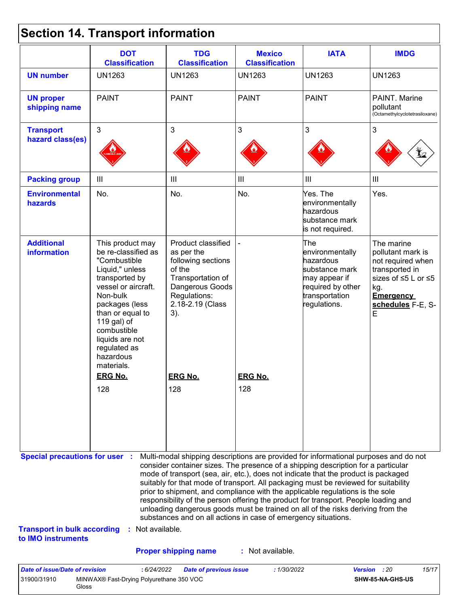# **Section 14. Transport information**

31900/31910 MINWAX® Fast-Drying Polyurethane 350 VOC

Gloss

| <b>UN number</b><br><b>UN proper</b><br>shipping name<br><b>Transport</b>                         | <b>UN1263</b><br><b>PAINT</b>                                                                                                                                                                                                                                     | <b>UN1263</b><br><b>PAINT</b>                                                                                                                                                                                                                                                                                                                                                                                                                                                                                                                                                                                                                                                       | <b>UN1263</b>                      | <b>UN1263</b>                                                                                                                 | <b>UN1263</b>                                                                                                                                      |
|---------------------------------------------------------------------------------------------------|-------------------------------------------------------------------------------------------------------------------------------------------------------------------------------------------------------------------------------------------------------------------|-------------------------------------------------------------------------------------------------------------------------------------------------------------------------------------------------------------------------------------------------------------------------------------------------------------------------------------------------------------------------------------------------------------------------------------------------------------------------------------------------------------------------------------------------------------------------------------------------------------------------------------------------------------------------------------|------------------------------------|-------------------------------------------------------------------------------------------------------------------------------|----------------------------------------------------------------------------------------------------------------------------------------------------|
|                                                                                                   |                                                                                                                                                                                                                                                                   |                                                                                                                                                                                                                                                                                                                                                                                                                                                                                                                                                                                                                                                                                     |                                    |                                                                                                                               |                                                                                                                                                    |
|                                                                                                   |                                                                                                                                                                                                                                                                   |                                                                                                                                                                                                                                                                                                                                                                                                                                                                                                                                                                                                                                                                                     | <b>PAINT</b>                       | <b>PAINT</b>                                                                                                                  | PAINT. Marine<br>pollutant<br>(Octamethylcyclotetrasiloxane)                                                                                       |
| hazard class(es)                                                                                  | 3                                                                                                                                                                                                                                                                 | 3                                                                                                                                                                                                                                                                                                                                                                                                                                                                                                                                                                                                                                                                                   | 3                                  | 3                                                                                                                             | 3                                                                                                                                                  |
| <b>Packing group</b>                                                                              | $\mathop{\rm III}$                                                                                                                                                                                                                                                | III                                                                                                                                                                                                                                                                                                                                                                                                                                                                                                                                                                                                                                                                                 | $\ensuremath{\mathsf{III}}\xspace$ | III                                                                                                                           | $\mathbf{III}$                                                                                                                                     |
| <b>Environmental</b><br>hazards                                                                   | No.                                                                                                                                                                                                                                                               | No.                                                                                                                                                                                                                                                                                                                                                                                                                                                                                                                                                                                                                                                                                 | No.                                | Yes. The<br>environmentally<br>hazardous<br>substance mark<br>is not required.                                                | Yes.                                                                                                                                               |
| <b>Additional</b><br>information                                                                  | This product may<br>be re-classified as<br>"Combustible<br>Liquid," unless<br>transported by<br>vessel or aircraft.<br>Non-bulk<br>packages (less<br>than or equal to<br>119 gal) of<br>combustible<br>liquids are not<br>regulated as<br>hazardous<br>materials. | Product classified<br>as per the<br>following sections<br>of the<br>Transportation of<br>Dangerous Goods<br>Regulations:<br>2.18-2.19 (Class<br>3).                                                                                                                                                                                                                                                                                                                                                                                                                                                                                                                                 |                                    | The<br>environmentally<br>hazardous<br>substance mark<br>may appear if<br>required by other<br>transportation<br>regulations. | The marine<br>pollutant mark is<br>not required when<br>transported in<br>sizes of ≤5 L or ≤5<br>kg.<br><b>Emergency</b><br>schedules F-E, S-<br>E |
|                                                                                                   | <b>ERG No.</b>                                                                                                                                                                                                                                                    | <b>ERG No.</b>                                                                                                                                                                                                                                                                                                                                                                                                                                                                                                                                                                                                                                                                      | <b>ERG No.</b>                     |                                                                                                                               |                                                                                                                                                    |
|                                                                                                   | 128                                                                                                                                                                                                                                                               | 128                                                                                                                                                                                                                                                                                                                                                                                                                                                                                                                                                                                                                                                                                 | 128                                |                                                                                                                               |                                                                                                                                                    |
| <b>Special precautions for user :</b><br><b>Transport in bulk according</b><br>to IMO instruments | Not available.                                                                                                                                                                                                                                                    | Multi-modal shipping descriptions are provided for informational purposes and do not<br>consider container sizes. The presence of a shipping description for a particular<br>mode of transport (sea, air, etc.), does not indicate that the product is packaged<br>suitably for that mode of transport. All packaging must be reviewed for suitability<br>prior to shipment, and compliance with the applicable regulations is the sole<br>responsibility of the person offering the product for transport. People loading and<br>unloading dangerous goods must be trained on all of the risks deriving from the<br>substances and on all actions in case of emergency situations. |                                    |                                                                                                                               |                                                                                                                                                    |
| <b>Date of issue/Date of revision</b>                                                             |                                                                                                                                                                                                                                                                   | <b>Proper shipping name</b>                                                                                                                                                                                                                                                                                                                                                                                                                                                                                                                                                                                                                                                         | : Not available.<br>: 1/30/2022    | <b>Version</b>                                                                                                                | 15/17                                                                                                                                              |

**SHW-85-NA-GHS-US**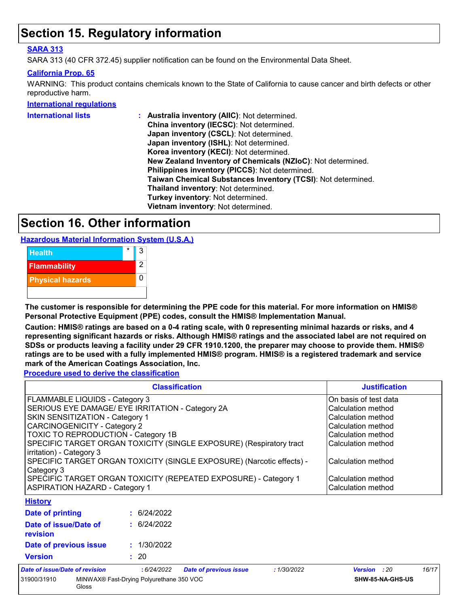## **Section 15. Regulatory information**

#### **SARA 313**

SARA 313 (40 CFR 372.45) supplier notification can be found on the Environmental Data Sheet.

#### **California Prop. 65**

WARNING: This product contains chemicals known to the State of California to cause cancer and birth defects or other reproductive harm.

#### **International regulations**

| <b>International lists</b> | Australia inventory (AllC): Not determined.                  |
|----------------------------|--------------------------------------------------------------|
|                            | China inventory (IECSC): Not determined.                     |
|                            | Japan inventory (CSCL): Not determined.                      |
|                            | Japan inventory (ISHL): Not determined.                      |
|                            | Korea inventory (KECI): Not determined.                      |
|                            | New Zealand Inventory of Chemicals (NZIoC): Not determined.  |
|                            | Philippines inventory (PICCS): Not determined.               |
|                            | Taiwan Chemical Substances Inventory (TCSI): Not determined. |
|                            | Thailand inventory: Not determined.                          |
|                            | Turkey inventory: Not determined.                            |
|                            | Vietnam inventory: Not determined.                           |
|                            |                                                              |

## **Section 16. Other information**

**Hazardous Material Information System (U.S.A.)**



**The customer is responsible for determining the PPE code for this material. For more information on HMIS® Personal Protective Equipment (PPE) codes, consult the HMIS® Implementation Manual.**

**Caution: HMIS® ratings are based on a 0-4 rating scale, with 0 representing minimal hazards or risks, and 4 representing significant hazards or risks. Although HMIS® ratings and the associated label are not required on SDSs or products leaving a facility under 29 CFR 1910.1200, the preparer may choose to provide them. HMIS® ratings are to be used with a fully implemented HMIS® program. HMIS® is a registered trademark and service mark of the American Coatings Association, Inc.**

**Procedure used to derive the classification**

Gloss

|                                                                                                 | <b>Justification</b>                             |                               |                    |                     |       |
|-------------------------------------------------------------------------------------------------|--------------------------------------------------|-------------------------------|--------------------|---------------------|-------|
| FLAMMABLE LIQUIDS - Category 3                                                                  | On basis of test data                            |                               |                    |                     |       |
|                                                                                                 | SERIOUS EYE DAMAGE/ EYE IRRITATION - Category 2A |                               |                    |                     |       |
| SKIN SENSITIZATION - Category 1                                                                 |                                                  |                               |                    | Calculation method  |       |
| CARCINOGENICITY - Category 2                                                                    |                                                  |                               |                    | Calculation method  |       |
| <b>TOXIC TO REPRODUCTION - Category 1B</b>                                                      |                                                  |                               |                    | Calculation method  |       |
| SPECIFIC TARGET ORGAN TOXICITY (SINGLE EXPOSURE) (Respiratory tract<br>irritation) - Category 3 |                                                  |                               |                    | Calculation method  |       |
| SPECIFIC TARGET ORGAN TOXICITY (SINGLE EXPOSURE) (Narcotic effects) -<br>Category 3             |                                                  |                               | Calculation method |                     |       |
| SPECIFIC TARGET ORGAN TOXICITY (REPEATED EXPOSURE) - Category 1                                 |                                                  |                               | Calculation method |                     |       |
| <b>ASPIRATION HAZARD - Category 1</b>                                                           |                                                  |                               | Calculation method |                     |       |
| <b>History</b>                                                                                  |                                                  |                               |                    |                     |       |
| Date of printing                                                                                | : 6/24/2022                                      |                               |                    |                     |       |
| Date of issue/Date of<br>revision                                                               | : 6/24/2022                                      |                               |                    |                     |       |
| Date of previous issue                                                                          | : 1/30/2022                                      |                               |                    |                     |       |
| <b>Version</b>                                                                                  | : 20                                             |                               |                    |                     |       |
| Date of issue/Date of revision                                                                  | :6/24/2022                                       | <b>Date of previous issue</b> | :1/30/2022         | <b>Version</b> : 20 | 16/17 |
| MINWAX® Fast-Drying Polyurethane 350 VOC<br>31900/31910                                         |                                                  |                               | SHW-85-NA-GHS-US   |                     |       |